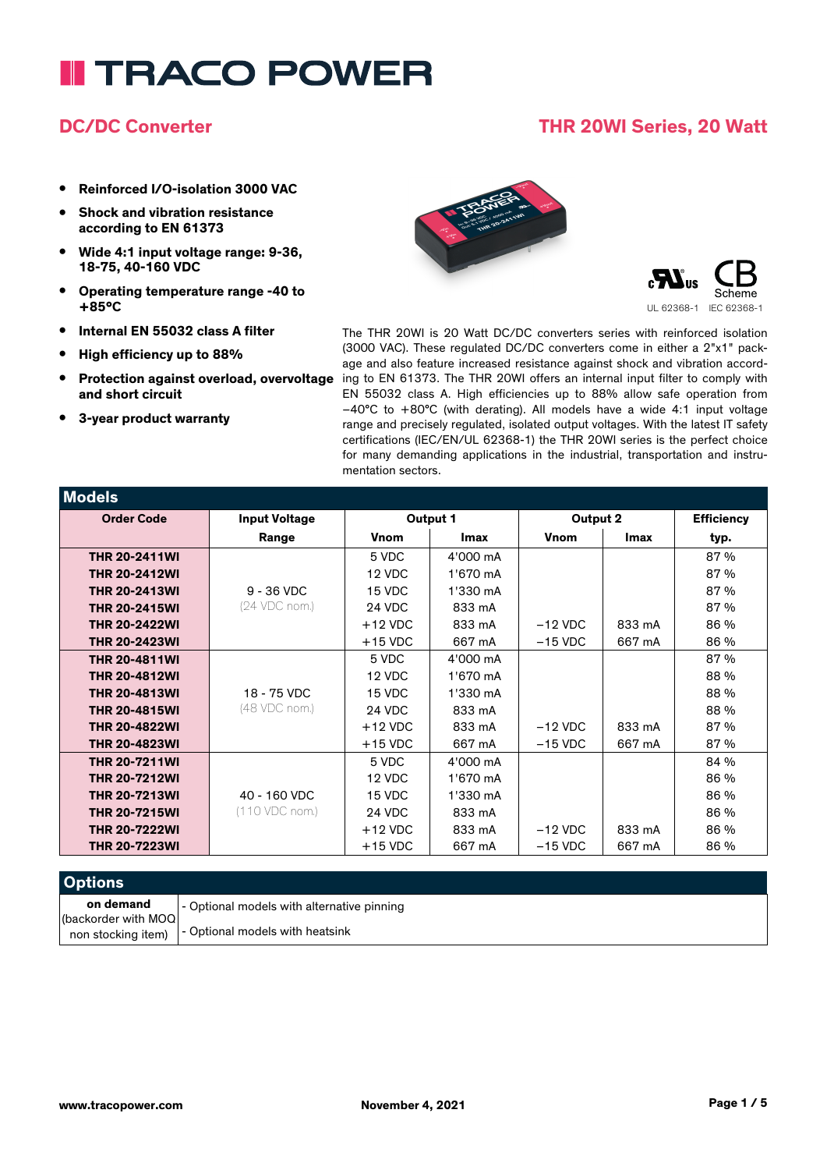#### **DC/DC Converter THR 20WI Series, 20 Watt**

- **• Reinforced I/O-isolation 3000 VAC**
- **• Shock and vibration resistance according to EN 61373**
- **• Wide 4:1 input voltage range: 9-36, 18-75, 40-160 VDC**
- **• Operating temperature range -40 to +85°C**
- **• Internal EN 55032 class A filter**
- **• High efficiency up to 88%**
- **• Protection against overload, overvoltage and short circuit**
- **• 3-year product warranty**

UL 62368-1 IEC 62368-1 The THR 20WI is 20 Watt DC/DC converters series with reinforced isolation (3000 VAC). These regulated DC/DC converters come in either a 2"x1" package and also feature increased resistance against shock and vibration according to EN 61373. The THR 20WI offers an internal input filter to comply with EN 55032 class A. High efficiencies up to 88% allow safe operation from –40°C to +80°C (with derating). All models have a wide 4:1 input voltage range and precisely regulated, isolated output voltages. With the latest IT safety certifications (IEC/EN/UL 62368-1) the THR 20WI series is the perfect choice for many demanding applications in the industrial, transportation and instru-

| <b>Models</b>        |                      |             |             |           |        |                   |
|----------------------|----------------------|-------------|-------------|-----------|--------|-------------------|
| <b>Order Code</b>    | <b>Input Voltage</b> | Output 1    |             | Output 2  |        | <b>Efficiency</b> |
|                      | Range                | <b>Vnom</b> | <b>Imax</b> | Vnom      | Imax   | typ.              |
| <b>THR 20-2411WI</b> |                      | 5 VDC       | 4'000 mA    |           |        | 87 %              |
| <b>THR 20-2412WI</b> |                      | 12 VDC      | 1'670 mA    |           |        | 87 %              |
| <b>THR 20-2413WI</b> | $9 - 36$ VDC         | 15 VDC      | 1'330 mA    |           |        | 87 %              |
| <b>THR 20-2415WI</b> | (24 VDC nom.)        | 24 VDC      | 833 mA      |           |        | 87 %              |
| <b>THR 20-2422WI</b> |                      | $+12$ VDC   | 833 mA      | $-12$ VDC | 833 mA | 86 %              |
| <b>THR 20-2423WI</b> |                      | $+15$ VDC   | 667 mA      | $-15$ VDC | 667 mA | 86 %              |
| <b>THR 20-4811WI</b> |                      | 5 VDC       | 4'000 mA    |           |        | 87 %              |
| <b>THR 20-4812WI</b> |                      | 12 VDC      | 1'670 mA    |           |        | 88 %              |
| <b>THR 20-4813WI</b> | 18 - 75 VDC          | 15 VDC      | 1'330 mA    |           |        | 88 %              |
| <b>THR 20-4815WI</b> | (48 VDC nom.)        | 24 VDC      | 833 mA      |           |        | 88 %              |
| <b>THR 20-4822WI</b> |                      | $+12$ VDC   | 833 mA      | $-12$ VDC | 833 mA | 87 %              |
| <b>THR 20-4823WI</b> |                      | $+15$ VDC   | 667 mA      | $-15$ VDC | 667 mA | 87 %              |
| <b>THR 20-7211WI</b> |                      | 5 VDC       | 4'000 mA    |           |        | 84 %              |
| <b>THR 20-7212WI</b> |                      | 12 VDC      | 1'670 mA    |           |        | 86 %              |
| <b>THR 20-7213WI</b> | 40 - 160 VDC         | 15 VDC      | 1'330 mA    |           |        | 86 %              |
| <b>THR 20-7215WI</b> | (110 VDC nom.)       | 24 VDC      | 833 mA      |           |        | 86 %              |
| <b>THR 20-7222WI</b> |                      | $+12$ VDC   | 833 mA      | $-12$ VDC | 833 mA | 86 %              |
| <b>THR 20-7223WI</b> |                      | $+15$ VDC   | 667 mA      | $-15$ VDC | 667 mA | 86 %              |

mentation sectors.

| <b>Options</b>                    |                                                      |
|-----------------------------------|------------------------------------------------------|
| on demand<br>(backorder with MOQ) | - Optional models with alternative pinning           |
|                                   | non stocking item)   - Optional models with heatsink |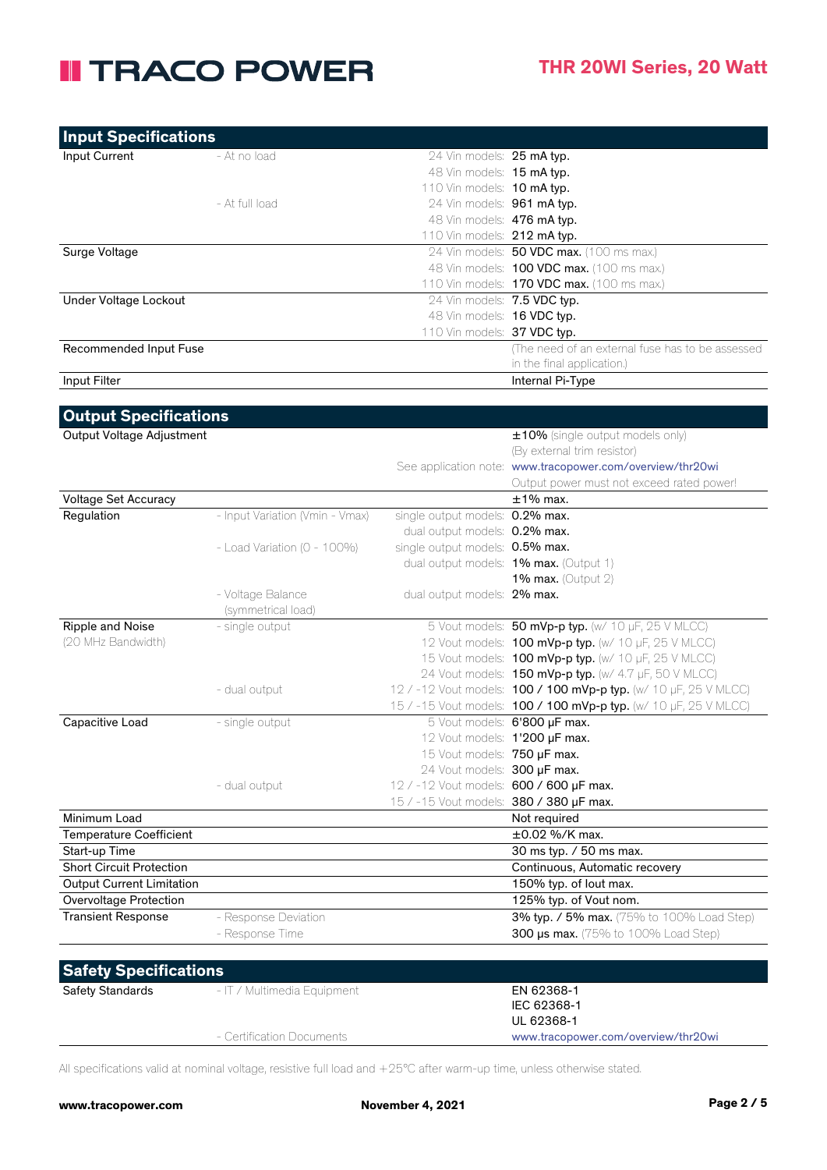| <b>Input Specifications</b> |                |                               |                                                   |
|-----------------------------|----------------|-------------------------------|---------------------------------------------------|
| Input Current               | - At no load   | 24 Vin models: 25 mA typ.     |                                                   |
|                             |                | 48 Vin models: 15 mA typ.     |                                                   |
|                             |                | 110 Vin models: 10 mA typ.    |                                                   |
|                             | - At full load | 24 Vin models: 961 mA typ.    |                                                   |
|                             |                | 48 Vin models: 476 mA typ.    |                                                   |
|                             |                | 110 Vin models: $212$ mA typ. |                                                   |
| Surge Voltage               |                |                               | 24 Vin models: <b>50 VDC max.</b> (100 ms max.)   |
|                             |                |                               | 48 Vin models: <b>100 VDC max.</b> (100 ms max.)  |
|                             |                |                               | 110 Vin models: <b>170 VDC max.</b> (100 ms max.) |
| Under Voltage Lockout       |                | 24 Vin models: 7.5 VDC typ.   |                                                   |
|                             |                | 48 Vin models: 16 VDC typ.    |                                                   |
|                             |                | 110 Vin models: $37$ VDC typ. |                                                   |
| Recommended Input Fuse      |                |                               | (The need of an external fuse has to be assessed) |
|                             |                |                               | in the final application.)                        |
| Input Filter                |                |                               | Internal Pi-Type                                  |

| Output Voltage Adjustment<br>(By external trim resistor)<br>See application note: www.tracopower.com/overview/thr20wi<br>$±1\%$ max.<br>Voltage Set Accuracy<br>- Input Variation (Vmin - Vmax)<br>single output models: 0.2% max.<br>Regulation<br>dual output models: 0.2% max.<br>single output models: 0.5% max.<br>- Load Variation ( $0 - 100\%$ )<br>dual output models: 1% max. (Output 1)<br>1% max. (Output $2$ )<br>- Voltage Balance<br>dual output models: 2% max.<br>(symmetrical load)<br>5 Vout models: 50 mVp-p typ. (w/ 10 µF, 25 V MLCC)<br>Ripple and Noise<br>- single output<br>(20 MHz Bandwidth)<br>12 Vout models: <b>100 mVp-p typ.</b> (w/ 10 µF, 25 V MLCC)<br>15 Vout models: <b>100 mVp-p typ.</b> (w/ 10 µF, 25 V MLCC)<br>24 Vout models: 150 mVp-p typ. (w/ 4.7 µF, 50 V MLCC)<br>12 / -12 Vout models: 100 / 100 mVp-p typ. (w/ 10 µF, 25 V MLCC)<br>- dual output<br>15 / -15 Vout models: 100 / 100 mVp-p typ. (w/ 10 µF, 25 V MLCC)<br>5 Vout models: 6'800 µF max.<br>Capacitive Load<br>- single output<br>12 Vout models: 1'200 µF max.<br>15 Vout models: 750 µF max.<br>24 Vout models: 300 µF max.<br>12 / -12 Vout models: 600 / 600 µF max.<br>- dual output<br>15 / -15 Vout models: 380 / 380 µF max.<br>Minimum Load<br>Not required<br><b>Temperature Coefficient</b><br>$\pm 0.02$ %/K max.<br>Start-up Time<br>30 ms typ. / 50 ms max.<br><b>Short Circuit Protection</b><br><b>Output Current Limitation</b><br>150% typ. of lout max. |                                            |
|--------------------------------------------------------------------------------------------------------------------------------------------------------------------------------------------------------------------------------------------------------------------------------------------------------------------------------------------------------------------------------------------------------------------------------------------------------------------------------------------------------------------------------------------------------------------------------------------------------------------------------------------------------------------------------------------------------------------------------------------------------------------------------------------------------------------------------------------------------------------------------------------------------------------------------------------------------------------------------------------------------------------------------------------------------------------------------------------------------------------------------------------------------------------------------------------------------------------------------------------------------------------------------------------------------------------------------------------------------------------------------------------------------------------------------------------------------------------------------------------|--------------------------------------------|
|                                                                                                                                                                                                                                                                                                                                                                                                                                                                                                                                                                                                                                                                                                                                                                                                                                                                                                                                                                                                                                                                                                                                                                                                                                                                                                                                                                                                                                                                                            | ±10% (single output models only)           |
|                                                                                                                                                                                                                                                                                                                                                                                                                                                                                                                                                                                                                                                                                                                                                                                                                                                                                                                                                                                                                                                                                                                                                                                                                                                                                                                                                                                                                                                                                            |                                            |
|                                                                                                                                                                                                                                                                                                                                                                                                                                                                                                                                                                                                                                                                                                                                                                                                                                                                                                                                                                                                                                                                                                                                                                                                                                                                                                                                                                                                                                                                                            |                                            |
|                                                                                                                                                                                                                                                                                                                                                                                                                                                                                                                                                                                                                                                                                                                                                                                                                                                                                                                                                                                                                                                                                                                                                                                                                                                                                                                                                                                                                                                                                            | Output power must not exceed rated power!  |
|                                                                                                                                                                                                                                                                                                                                                                                                                                                                                                                                                                                                                                                                                                                                                                                                                                                                                                                                                                                                                                                                                                                                                                                                                                                                                                                                                                                                                                                                                            |                                            |
|                                                                                                                                                                                                                                                                                                                                                                                                                                                                                                                                                                                                                                                                                                                                                                                                                                                                                                                                                                                                                                                                                                                                                                                                                                                                                                                                                                                                                                                                                            |                                            |
|                                                                                                                                                                                                                                                                                                                                                                                                                                                                                                                                                                                                                                                                                                                                                                                                                                                                                                                                                                                                                                                                                                                                                                                                                                                                                                                                                                                                                                                                                            |                                            |
|                                                                                                                                                                                                                                                                                                                                                                                                                                                                                                                                                                                                                                                                                                                                                                                                                                                                                                                                                                                                                                                                                                                                                                                                                                                                                                                                                                                                                                                                                            |                                            |
|                                                                                                                                                                                                                                                                                                                                                                                                                                                                                                                                                                                                                                                                                                                                                                                                                                                                                                                                                                                                                                                                                                                                                                                                                                                                                                                                                                                                                                                                                            |                                            |
|                                                                                                                                                                                                                                                                                                                                                                                                                                                                                                                                                                                                                                                                                                                                                                                                                                                                                                                                                                                                                                                                                                                                                                                                                                                                                                                                                                                                                                                                                            |                                            |
|                                                                                                                                                                                                                                                                                                                                                                                                                                                                                                                                                                                                                                                                                                                                                                                                                                                                                                                                                                                                                                                                                                                                                                                                                                                                                                                                                                                                                                                                                            |                                            |
|                                                                                                                                                                                                                                                                                                                                                                                                                                                                                                                                                                                                                                                                                                                                                                                                                                                                                                                                                                                                                                                                                                                                                                                                                                                                                                                                                                                                                                                                                            |                                            |
|                                                                                                                                                                                                                                                                                                                                                                                                                                                                                                                                                                                                                                                                                                                                                                                                                                                                                                                                                                                                                                                                                                                                                                                                                                                                                                                                                                                                                                                                                            |                                            |
|                                                                                                                                                                                                                                                                                                                                                                                                                                                                                                                                                                                                                                                                                                                                                                                                                                                                                                                                                                                                                                                                                                                                                                                                                                                                                                                                                                                                                                                                                            |                                            |
|                                                                                                                                                                                                                                                                                                                                                                                                                                                                                                                                                                                                                                                                                                                                                                                                                                                                                                                                                                                                                                                                                                                                                                                                                                                                                                                                                                                                                                                                                            |                                            |
|                                                                                                                                                                                                                                                                                                                                                                                                                                                                                                                                                                                                                                                                                                                                                                                                                                                                                                                                                                                                                                                                                                                                                                                                                                                                                                                                                                                                                                                                                            |                                            |
|                                                                                                                                                                                                                                                                                                                                                                                                                                                                                                                                                                                                                                                                                                                                                                                                                                                                                                                                                                                                                                                                                                                                                                                                                                                                                                                                                                                                                                                                                            |                                            |
|                                                                                                                                                                                                                                                                                                                                                                                                                                                                                                                                                                                                                                                                                                                                                                                                                                                                                                                                                                                                                                                                                                                                                                                                                                                                                                                                                                                                                                                                                            |                                            |
|                                                                                                                                                                                                                                                                                                                                                                                                                                                                                                                                                                                                                                                                                                                                                                                                                                                                                                                                                                                                                                                                                                                                                                                                                                                                                                                                                                                                                                                                                            |                                            |
|                                                                                                                                                                                                                                                                                                                                                                                                                                                                                                                                                                                                                                                                                                                                                                                                                                                                                                                                                                                                                                                                                                                                                                                                                                                                                                                                                                                                                                                                                            |                                            |
|                                                                                                                                                                                                                                                                                                                                                                                                                                                                                                                                                                                                                                                                                                                                                                                                                                                                                                                                                                                                                                                                                                                                                                                                                                                                                                                                                                                                                                                                                            |                                            |
|                                                                                                                                                                                                                                                                                                                                                                                                                                                                                                                                                                                                                                                                                                                                                                                                                                                                                                                                                                                                                                                                                                                                                                                                                                                                                                                                                                                                                                                                                            |                                            |
|                                                                                                                                                                                                                                                                                                                                                                                                                                                                                                                                                                                                                                                                                                                                                                                                                                                                                                                                                                                                                                                                                                                                                                                                                                                                                                                                                                                                                                                                                            |                                            |
|                                                                                                                                                                                                                                                                                                                                                                                                                                                                                                                                                                                                                                                                                                                                                                                                                                                                                                                                                                                                                                                                                                                                                                                                                                                                                                                                                                                                                                                                                            |                                            |
|                                                                                                                                                                                                                                                                                                                                                                                                                                                                                                                                                                                                                                                                                                                                                                                                                                                                                                                                                                                                                                                                                                                                                                                                                                                                                                                                                                                                                                                                                            |                                            |
|                                                                                                                                                                                                                                                                                                                                                                                                                                                                                                                                                                                                                                                                                                                                                                                                                                                                                                                                                                                                                                                                                                                                                                                                                                                                                                                                                                                                                                                                                            |                                            |
|                                                                                                                                                                                                                                                                                                                                                                                                                                                                                                                                                                                                                                                                                                                                                                                                                                                                                                                                                                                                                                                                                                                                                                                                                                                                                                                                                                                                                                                                                            |                                            |
|                                                                                                                                                                                                                                                                                                                                                                                                                                                                                                                                                                                                                                                                                                                                                                                                                                                                                                                                                                                                                                                                                                                                                                                                                                                                                                                                                                                                                                                                                            | Continuous, Automatic recovery             |
|                                                                                                                                                                                                                                                                                                                                                                                                                                                                                                                                                                                                                                                                                                                                                                                                                                                                                                                                                                                                                                                                                                                                                                                                                                                                                                                                                                                                                                                                                            |                                            |
| Overvoltage Protection                                                                                                                                                                                                                                                                                                                                                                                                                                                                                                                                                                                                                                                                                                                                                                                                                                                                                                                                                                                                                                                                                                                                                                                                                                                                                                                                                                                                                                                                     | 125% typ. of Vout nom.                     |
| - Response Deviation<br><b>Transient Response</b>                                                                                                                                                                                                                                                                                                                                                                                                                                                                                                                                                                                                                                                                                                                                                                                                                                                                                                                                                                                                                                                                                                                                                                                                                                                                                                                                                                                                                                          | 3% typ. / 5% max. (75% to 100% Load Step)  |
| - Response Time                                                                                                                                                                                                                                                                                                                                                                                                                                                                                                                                                                                                                                                                                                                                                                                                                                                                                                                                                                                                                                                                                                                                                                                                                                                                                                                                                                                                                                                                            | <b>300 µs max.</b> (75% to 100% Load Step) |
|                                                                                                                                                                                                                                                                                                                                                                                                                                                                                                                                                                                                                                                                                                                                                                                                                                                                                                                                                                                                                                                                                                                                                                                                                                                                                                                                                                                                                                                                                            |                                            |

| Safety Specifications   |                             |                                     |  |  |
|-------------------------|-----------------------------|-------------------------------------|--|--|
| <b>Safety Standards</b> | - IT / Multimedia Equipment | EN 62368-1                          |  |  |
|                         |                             | IEC 62368-1                         |  |  |
|                         |                             | UL 62368-1                          |  |  |
|                         | - Certification Documents   | www.tracopower.com/overview/thr20wi |  |  |

All specifications valid at nominal voltage, resistive full load and +25°C after warm-up time, unless otherwise stated.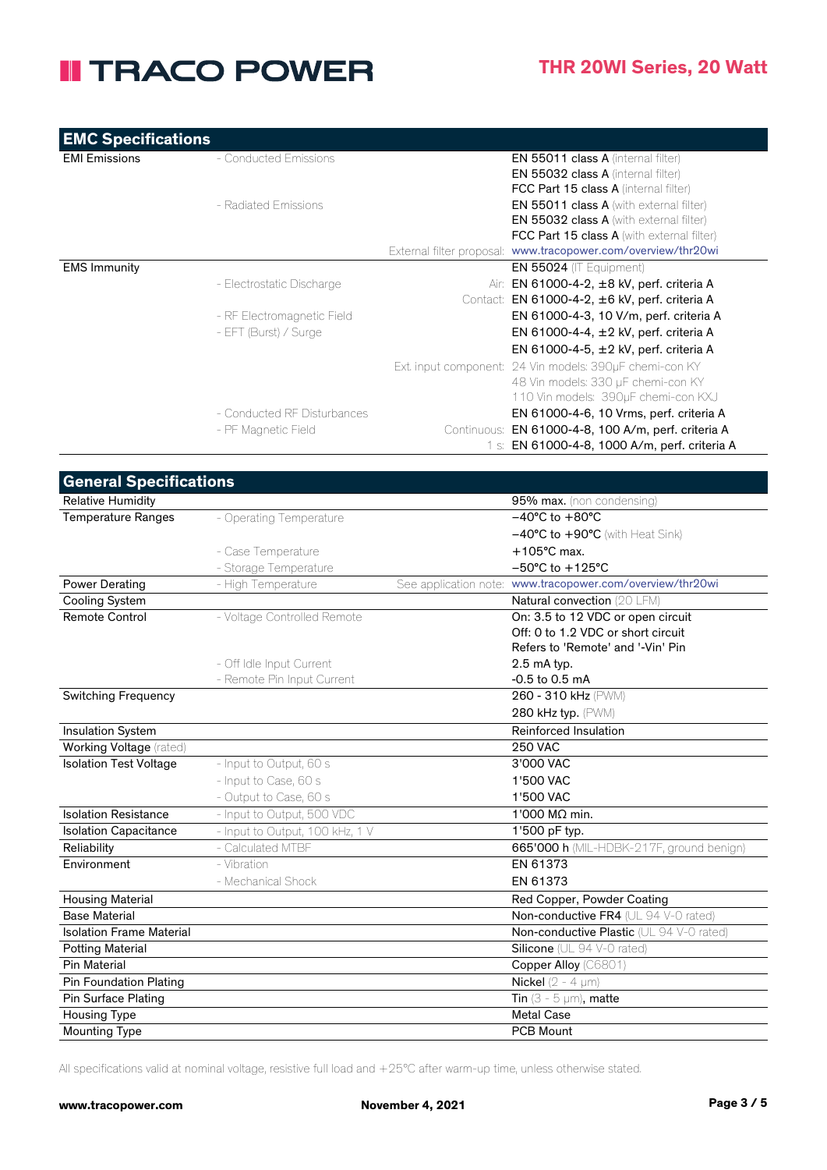| <b>EMC Specifications</b> |                             |             |                                                               |
|---------------------------|-----------------------------|-------------|---------------------------------------------------------------|
| <b>EMI Emissions</b>      | - Conducted Emissions       |             | <b>EN 55011 class A (internal filter)</b>                     |
|                           |                             |             | <b>EN 55032 class A (internal filter)</b>                     |
|                           |                             |             | <b>FCC Part 15 class A (internal filter)</b>                  |
|                           | - Radiated Emissions        |             | <b>EN 55011 class A</b> (with external filter)                |
|                           |                             |             | <b>EN 55032 class A</b> (with external filter)                |
|                           |                             |             | <b>FCC Part 15 class A</b> (with external filter)             |
|                           |                             |             | External filter proposal: www.tracopower.com/overview/thr20wi |
| <b>EMS Immunity</b>       |                             |             | <b>EN 55024</b> (IT Equipment)                                |
|                           | - Electrostatic Discharge   |             | Air: EN 61000-4-2, ±8 kV, perf. criteria A                    |
|                           |                             |             | Contact: EN 61000-4-2, ±6 kV, perf. criteria A                |
|                           | - RF Electromagnetic Field  |             | EN 61000-4-3, 10 V/m, perf. criteria A                        |
|                           | - EFT (Burst) / Surge       |             | EN 61000-4-4, $\pm 2$ kV, perf. criteria A                    |
|                           |                             |             | EN 61000-4-5, ±2 kV, perf. criteria A                         |
|                           |                             |             | Ext. input component: 24 Vin models: 390uF chemi-con KY       |
|                           |                             |             | 48 Vin models: 330 µF chemi-con KY                            |
|                           |                             |             | 110 Vin models: 390µF chemi-con KXJ                           |
|                           | - Conducted RF Disturbances |             | EN 61000-4-6, 10 Vrms, perf. criteria A                       |
|                           | - PF Magnetic Field         | Continuous: | EN 61000-4-8, 100 A/m, perf. criteria A                       |
|                           |                             |             | 1 s: EN 61000-4-8, 1000 A/m, perf. criteria A                 |

| <b>General Specifications</b>   |                                 |                                                           |
|---------------------------------|---------------------------------|-----------------------------------------------------------|
| <b>Relative Humidity</b>        |                                 | 95% max. (non condensing)                                 |
| <b>Temperature Ranges</b>       | - Operating Temperature         | $-40^{\circ}$ C to $+80^{\circ}$ C                        |
|                                 |                                 | $-40^{\circ}$ C to $+90^{\circ}$ C (with Heat Sink)       |
|                                 | - Case Temperature              | $+105^{\circ}$ C max.                                     |
|                                 | - Storage Temperature           | $-50^{\circ}$ C to $+125^{\circ}$ C                       |
| <b>Power Derating</b>           | - High Temperature              | See application note: www.tracopower.com/overview/thr20wi |
| <b>Cooling System</b>           |                                 | Natural convection (20 LFM)                               |
| Remote Control                  | - Voltage Controlled Remote     | On: 3.5 to 12 VDC or open circuit                         |
|                                 |                                 | Off: 0 to 1.2 VDC or short circuit                        |
|                                 |                                 | Refers to 'Remote' and '-Vin' Pin                         |
|                                 | - Off Idle Input Current        | 2.5 mA typ.                                               |
|                                 | - Remote Pin Input Current      | $-0.5$ to $0.5$ mA                                        |
| <b>Switching Frequency</b>      |                                 | 260 - 310 kHz (PWM)                                       |
|                                 |                                 | 280 kHz typ. (PWM)                                        |
| Insulation System               |                                 | Reinforced Insulation                                     |
| Working Voltage (rated)         |                                 | <b>250 VAC</b>                                            |
| <b>Isolation Test Voltage</b>   | - Input to Output, 60 s         | 3'000 VAC                                                 |
|                                 | - Input to Case, 60 s           | 1'500 VAC                                                 |
|                                 | - Output to Case, 60 s          | 1'500 VAC                                                 |
| <b>Isolation Resistance</b>     | - Input to Output, 500 VDC      | 1'000 MΩ min.                                             |
| <b>Isolation Capacitance</b>    | - Input to Output, 100 kHz, 1 V | 1'500 pF typ.                                             |
| Reliability                     | - Calculated MTBF               | 665'000 h (MIL-HDBK-217F, ground benign)                  |
| Environment                     | - Vibration                     | EN 61373                                                  |
|                                 | - Mechanical Shock              | EN 61373                                                  |
| <b>Housing Material</b>         |                                 | Red Copper, Powder Coating                                |
| <b>Base Material</b>            |                                 | Non-conductive FR4 (UL 94 V-0 rated)                      |
| <b>Isolation Frame Material</b> |                                 | Non-conductive Plastic (UL 94 V-0 rated)                  |
| <b>Potting Material</b>         |                                 | Silicone (UL 94 V-0 rated)                                |
| <b>Pin Material</b>             |                                 | Copper Alloy (C6801)                                      |
| <b>Pin Foundation Plating</b>   |                                 | Nickel $(2 - 4 \mu m)$                                    |
| <b>Pin Surface Plating</b>      |                                 | Tin $(3 - 5 \mu m)$ , matte                               |
| <b>Housing Type</b>             |                                 | <b>Metal Case</b>                                         |
| <b>Mounting Type</b>            |                                 | <b>PCB Mount</b>                                          |

All specifications valid at nominal voltage, resistive full load and +25°C after warm-up time, unless otherwise stated.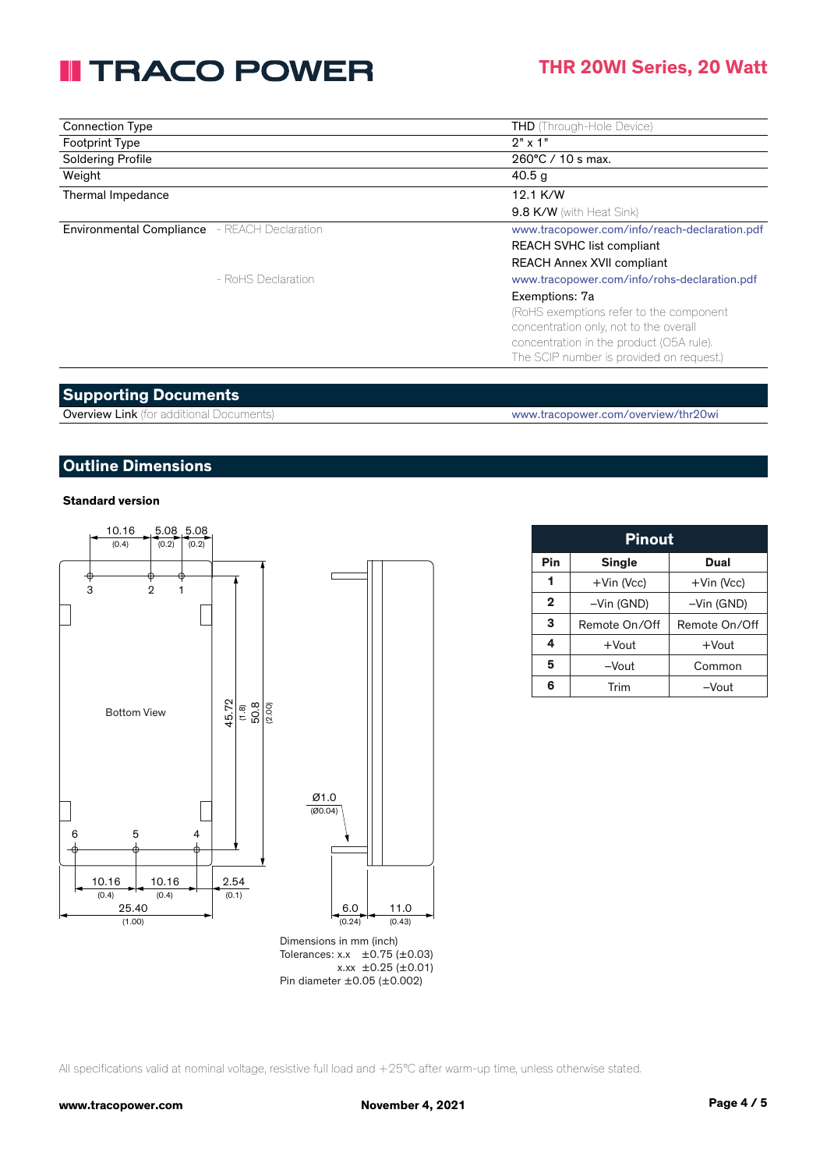### **THR 20WI Series, 20 Watt**

| <b>Connection Type</b>                              | <b>THD</b> (Through-Hole Device)              |
|-----------------------------------------------------|-----------------------------------------------|
| <b>Footprint Type</b>                               | $2" \times 1"$                                |
| <b>Soldering Profile</b>                            | 260°C / 10 s max.                             |
| Weight                                              | 40.5 <sub>g</sub>                             |
| Thermal Impedance                                   | 12.1 K/W                                      |
|                                                     | 9.8 K/W (with Heat Sink)                      |
| <b>Environmental Compliance</b> - REACH Declaration | www.tracopower.com/info/reach-declaration.pdf |
|                                                     | <b>REACH SVHC list compliant</b>              |
|                                                     | <b>REACH Annex XVII compliant</b>             |
| - RoHS Declaration                                  | www.tracopower.com/info/rohs-declaration.pdf  |
|                                                     | Exemptions: 7a                                |
|                                                     | (RoHS exemptions refer to the component       |
|                                                     | concentration only, not to the overall        |
|                                                     | concentration in the product (O5A rule).      |
|                                                     | The SCIP number is provided on request.)      |

#### **Supporting Documents**

Overview Link (for additional Documents) www.tracopower.com/overview/thr20wi

#### **Outline Dimensions**

#### **Standard version**



Tolerances:  $x.x \pm 0.75 \pm 0.03$  $x.xx \pm 0.25 (\pm 0.01)$ Pin diameter ±0.05 (±0.002)

| <b>Pinout</b> |               |               |  |  |
|---------------|---------------|---------------|--|--|
| Pin           | <b>Single</b> | Dual          |  |  |
| 1             | +Vin (Vcc)    | +Vin (Vcc)    |  |  |
| $\mathbf 2$   | -Vin (GND)    | -Vin (GND)    |  |  |
| 3             | Remote On/Off | Remote On/Off |  |  |
| 4             | $+$ Vout      | $+$ Vout      |  |  |
| 5             | -Vout         | Common        |  |  |
| 6             | Trim          | $-V$ out      |  |  |

All specifications valid at nominal voltage, resistive full load and +25°C after warm-up time, unless otherwise stated.